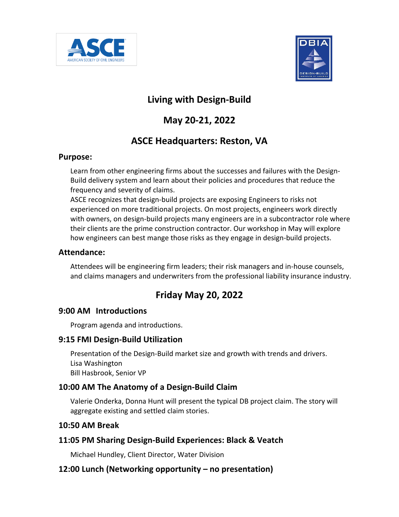



## **Living with Design-Build**

# **May 20-21, 2022**

## **ASCE Headquarters: Reston, VA**

#### **Purpose:**

Learn from other engineering firms about the successes and failures with the Design-Build delivery system and learn about their policies and procedures that reduce the frequency and severity of claims.

ASCE recognizes that design-build projects are exposing Engineers to risks not experienced on more traditional projects. On most projects, engineers work directly with owners, on design-build projects many engineers are in a subcontractor role where their clients are the prime construction contractor. Our workshop in May will explore how engineers can best mange those risks as they engage in design-build projects.

### **Attendance:**

Attendees will be engineering firm leaders; their risk managers and in-house counsels, and claims managers and underwriters from the professional liability insurance industry.

## **Friday May 20, 2022**

## **9:00 AM Introductions**

Program agenda and introductions.

#### **9:15 FMI Design-Build Utilization**

Presentation of the Design-Build market size and growth with trends and drivers. Lisa Washington Bill Hasbrook, Senior VP

## **10:00 AM The Anatomy of a Design-Build Claim**

Valerie Onderka, Donna Hunt will present the typical DB project claim. The story will aggregate existing and settled claim stories.

#### **10:50 AM Break**

## **11:05 PM Sharing Design-Build Experiences: Black & Veatch**

Michael Hundley, Client Director, Water Division

## **12:00 Lunch (Networking opportunity – no presentation)**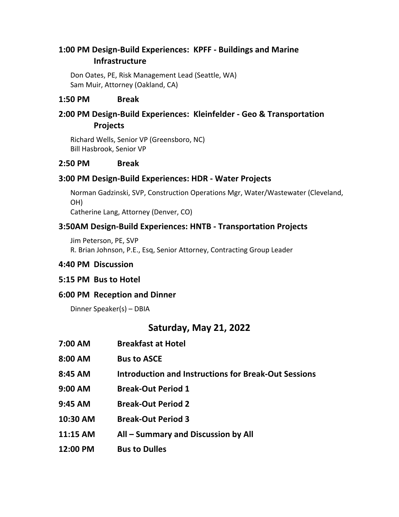## **1:00 PM Design-Build Experiences: KPFF - Buildings and Marine Infrastructure**

Don Oates, PE, Risk Management Lead (Seattle, WA) Sam Muir, Attorney (Oakland, CA)

#### **1:50 PM Break**

## **2:00 PM Design-Build Experiences: Kleinfelder - Geo & Transportation Projects**

Richard Wells, Senior VP (Greensboro, NC) Bill Hasbrook, Senior VP

#### **2:50 PM Break**

#### **3:00 PM Design-Build Experiences: HDR - Water Projects**

Norman Gadzinski, SVP, Construction Operations Mgr, Water/Wastewater (Cleveland, OH)

Catherine Lang, Attorney (Denver, CO)

### **3:50AM Design-Build Experiences: HNTB - Transportation Projects**

Jim Peterson, PE, SVP

R. Brian Johnson, P.E., Esq, Senior Attorney, Contracting Group Leader

#### **4:40 PM Discussion**

#### **5:15 PM Bus to Hotel**

#### **6:00 PM Reception and Dinner**

Dinner Speaker(s) – DBIA

## **Saturday, May 21, 2022**

| 7:00 AM  | <b>Breakfast at Hotel</b>                                   |
|----------|-------------------------------------------------------------|
| 8:00 AM  | <b>Bus to ASCE</b>                                          |
| 8:45 AM  | <b>Introduction and Instructions for Break-Out Sessions</b> |
| 9:00 AM  | <b>Break-Out Period 1</b>                                   |
| 9:45 AM  | <b>Break-Out Period 2</b>                                   |
| 10:30 AM | <b>Break-Out Period 3</b>                                   |
| 11:15 AM | All - Summary and Discussion by All                         |
| 12:00 PM | <b>Bus to Dulles</b>                                        |